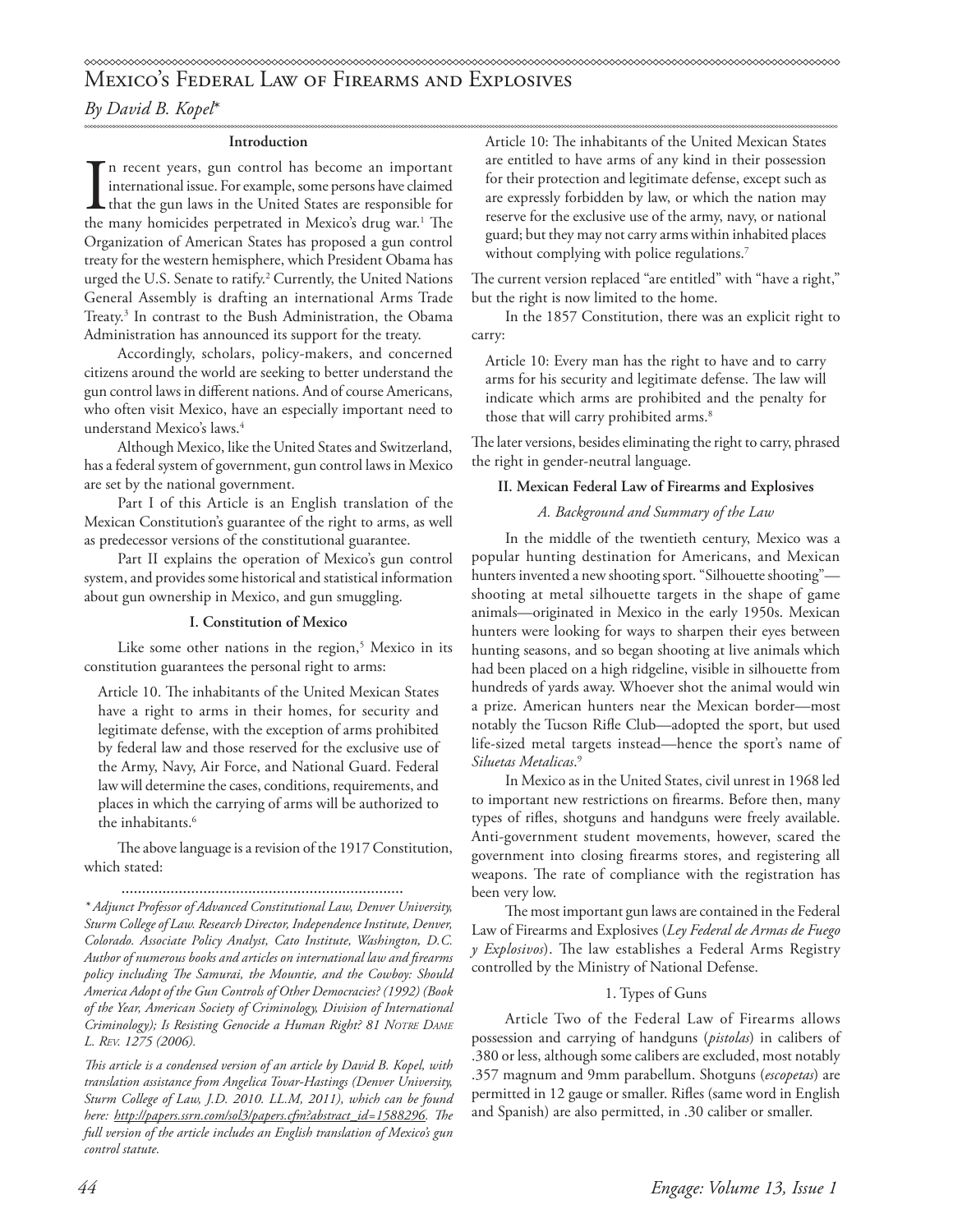# Mexico's Federal Law of Firearms and Explosives

*By David B. Kopel*\*

### **Introduction**

In recent years, gun control has become an important international issue. For example, some persons have claimed that the gun laws in the United States are responsible for the many homicides perpetrated in Mexico's drug wa n recent years, gun control has become an important international issue. For example, some persons have claimed **L** that the gun laws in the United States are responsible for Organization of American States has proposed a gun control treaty for the western hemisphere, which President Obama has urged the U.S. Senate to ratify.<sup>2</sup> Currently, the United Nations General Assembly is drafting an international Arms Trade Treaty.3 In contrast to the Bush Administration, the Obama Administration has announced its support for the treaty.

Accordingly, scholars, policy-makers, and concerned citizens around the world are seeking to better understand the gun control laws in different nations. And of course Americans, who often visit Mexico, have an especially important need to understand Mexico's laws.4

Although Mexico, like the United States and Switzerland, has a federal system of government, gun control laws in Mexico are set by the national government.

Part I of this Article is an English translation of the Mexican Constitution's guarantee of the right to arms, as well as predecessor versions of the constitutional guarantee.

Part II explains the operation of Mexico's gun control system, and provides some historical and statistical information about gun ownership in Mexico, and gun smuggling.

# **I. Constitution of Mexico**

Like some other nations in the region,<sup>5</sup> Mexico in its constitution guarantees the personal right to arms:

Article 10. The inhabitants of the United Mexican States have a right to arms in their homes, for security and legitimate defense, with the exception of arms prohibited by federal law and those reserved for the exclusive use of the Army, Navy, Air Force, and National Guard. Federal law will determine the cases, conditions, requirements, and places in which the carrying of arms will be authorized to the inhabitants.<sup>6</sup>

The above language is a revision of the 1917 Constitution, which stated:

.....................................................................

*\* Adjunct Professor of Advanced Constitutional Law, Denver University, Sturm College of Law. Research Director, Independence Institute, Denver, Colorado. Associate Policy Analyst, Cato Institute, Washington, D.C. Author of numerous books and articles on international law and firearms policy including The Samurai, the Mountie, and the Cowboy: Should America Adopt of the Gun Controls of Other Democracies? (1992) (Book of the Year, American Society of Criminology, Division of International*  Criminology); Is Resisting Genocide a Human Right? 81 NOTRE DAME *L. Rev. 1275 (2006).*

*This article is a condensed version of an article by David B. Kopel, with translation assistance from Angelica Tovar-Hastings (Denver University, Sturm College of Law, J.D. 2010. LL.M, 2011), which can be found here: http://papers.ssrn.com/sol3/papers.cfm?abstract\_id=1588296. The full version of the article includes an English translation of Mexico's gun control statute.*

Article 10: The inhabitants of the United Mexican States are entitled to have arms of any kind in their possession for their protection and legitimate defense, except such as are expressly forbidden by law, or which the nation may reserve for the exclusive use of the army, navy, or national guard; but they may not carry arms within inhabited places without complying with police regulations.<sup>7</sup>

The current version replaced "are entitled" with "have a right," but the right is now limited to the home.

In the 1857 Constitution, there was an explicit right to carry:

Article 10: Every man has the right to have and to carry arms for his security and legitimate defense. The law will indicate which arms are prohibited and the penalty for those that will carry prohibited arms.<sup>8</sup>

The later versions, besides eliminating the right to carry, phrased the right in gender-neutral language.

## **II. Mexican Federal Law of Firearms and Explosives**

# *A. Background and Summary of the Law*

In the middle of the twentieth century, Mexico was a popular hunting destination for Americans, and Mexican hunters invented a new shooting sport. "Silhouette shooting" shooting at metal silhouette targets in the shape of game animals—originated in Mexico in the early 1950s. Mexican hunters were looking for ways to sharpen their eyes between hunting seasons, and so began shooting at live animals which had been placed on a high ridgeline, visible in silhouette from hundreds of yards away. Whoever shot the animal would win a prize. American hunters near the Mexican border—most notably the Tucson Rifle Club—adopted the sport, but used life-sized metal targets instead—hence the sport's name of *Siluetas Metalicas*. 9

In Mexico as in the United States, civil unrest in 1968 led to important new restrictions on firearms. Before then, many types of rifles, shotguns and handguns were freely available. Anti-government student movements, however, scared the government into closing firearms stores, and registering all weapons. The rate of compliance with the registration has been very low.

The most important gun laws are contained in the Federal Law of Firearms and Explosives (*Ley Federal de Armas de Fuego y Explosivos*). The law establishes a Federal Arms Registry controlled by the Ministry of National Defense.

# 1. Types of Guns

Article Two of the Federal Law of Firearms allows possession and carrying of handguns (*pistolas*) in calibers of .380 or less, although some calibers are excluded, most notably .357 magnum and 9mm parabellum. Shotguns (*escopetas*) are permitted in 12 gauge or smaller. Rifles (same word in English and Spanish) are also permitted, in .30 caliber or smaller.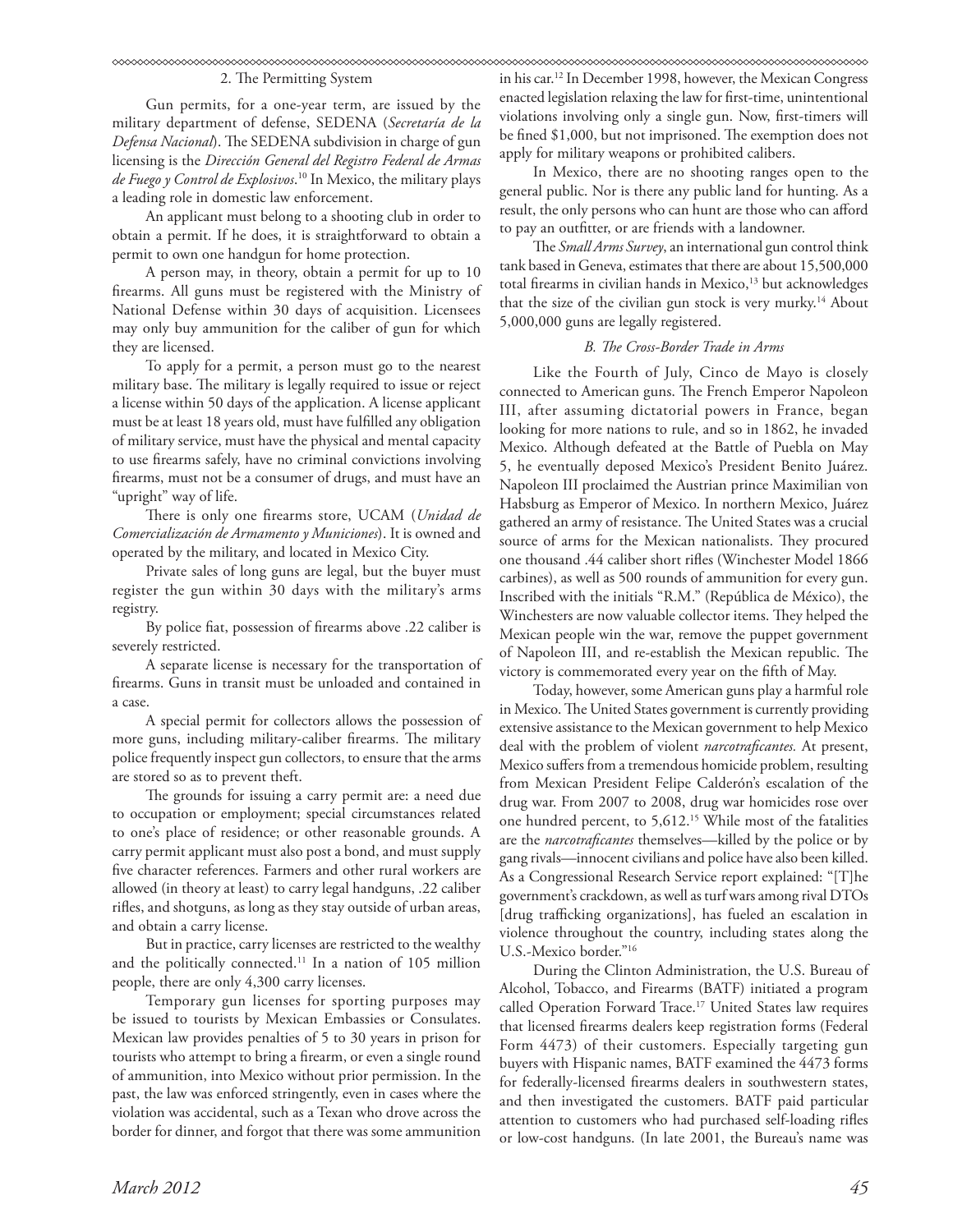#### 2. The Permitting System

Gun permits, for a one-year term, are issued by the military department of defense, SEDENA (*Secretaría de la Defensa Nacional*). The SEDENA subdivision in charge of gun licensing is the *Dirección General del Registro Federal de Armas de Fuego y Control de Explosivos*. 10 In Mexico, the military plays a leading role in domestic law enforcement.

An applicant must belong to a shooting club in order to obtain a permit. If he does, it is straightforward to obtain a permit to own one handgun for home protection.

A person may, in theory, obtain a permit for up to 10 firearms. All guns must be registered with the Ministry of National Defense within 30 days of acquisition. Licensees may only buy ammunition for the caliber of gun for which they are licensed.

To apply for a permit, a person must go to the nearest military base. The military is legally required to issue or reject a license within 50 days of the application. A license applicant must be at least 18 years old, must have fulfilled any obligation of military service, must have the physical and mental capacity to use firearms safely, have no criminal convictions involving firearms, must not be a consumer of drugs, and must have an "upright" way of life.

There is only one firearms store, UCAM (*Unidad de Comercialización de Armamento y Municiones*). It is owned and operated by the military, and located in Mexico City.

Private sales of long guns are legal, but the buyer must register the gun within 30 days with the military's arms registry.

By police fiat, possession of firearms above .22 caliber is severely restricted.

A separate license is necessary for the transportation of firearms. Guns in transit must be unloaded and contained in a case.

A special permit for collectors allows the possession of more guns, including military-caliber firearms. The military police frequently inspect gun collectors, to ensure that the arms are stored so as to prevent theft.

The grounds for issuing a carry permit are: a need due to occupation or employment; special circumstances related to one's place of residence; or other reasonable grounds. A carry permit applicant must also post a bond, and must supply five character references. Farmers and other rural workers are allowed (in theory at least) to carry legal handguns, .22 caliber rifles, and shotguns, as long as they stay outside of urban areas, and obtain a carry license.

But in practice, carry licenses are restricted to the wealthy and the politically connected.11 In a nation of 105 million people, there are only 4,300 carry licenses.

Temporary gun licenses for sporting purposes may be issued to tourists by Mexican Embassies or Consulates. Mexican law provides penalties of 5 to 30 years in prison for tourists who attempt to bring a firearm, or even a single round of ammunition, into Mexico without prior permission. In the past, the law was enforced stringently, even in cases where the violation was accidental, such as a Texan who drove across the border for dinner, and forgot that there was some ammunition

in his car.12 In December 1998, however, the Mexican Congress enacted legislation relaxing the law for first-time, unintentional violations involving only a single gun. Now, first-timers will be fined \$1,000, but not imprisoned. The exemption does not apply for military weapons or prohibited calibers.

In Mexico, there are no shooting ranges open to the general public. Nor is there any public land for hunting. As a result, the only persons who can hunt are those who can afford to pay an outfitter, or are friends with a landowner.

The *Small Arms Survey*, an international gun control think tank based in Geneva, estimates that there are about 15,500,000 total firearms in civilian hands in Mexico,<sup>13</sup> but acknowledges that the size of the civilian gun stock is very murky.<sup>14</sup> About 5,000,000 guns are legally registered.

## *B. The Cross-Border Trade in Arms*

Like the Fourth of July, Cinco de Mayo is closely connected to American guns. The French Emperor Napoleon III, after assuming dictatorial powers in France, began looking for more nations to rule, and so in 1862, he invaded Mexico. Although defeated at the Battle of Puebla on May 5, he eventually deposed Mexico's President Benito Juárez. Napoleon III proclaimed the Austrian prince Maximilian von Habsburg as Emperor of Mexico. In northern Mexico, Juárez gathered an army of resistance. The United States was a crucial source of arms for the Mexican nationalists. They procured one thousand .44 caliber short rifles (Winchester Model 1866 carbines), as well as 500 rounds of ammunition for every gun. Inscribed with the initials "R.M." (República de México), the Winchesters are now valuable collector items. They helped the Mexican people win the war, remove the puppet government of Napoleon III, and re-establish the Mexican republic. The victory is commemorated every year on the fifth of May.

Today, however, some American guns play a harmful role in Mexico. The United States government is currently providing extensive assistance to the Mexican government to help Mexico deal with the problem of violent *narcotraficantes.* At present, Mexico suffers from a tremendous homicide problem, resulting from Mexican President Felipe Calderón's escalation of the drug war. From 2007 to 2008, drug war homicides rose over one hundred percent, to 5,612.<sup>15</sup> While most of the fatalities are the *narcotraficantes* themselves—killed by the police or by gang rivals—innocent civilians and police have also been killed. As a Congressional Research Service report explained: "[T]he government's crackdown, as well as turf wars among rival DTOs [drug trafficking organizations], has fueled an escalation in violence throughout the country, including states along the U.S.-Mexico border."16

During the Clinton Administration, the U.S. Bureau of Alcohol, Tobacco, and Firearms (BATF) initiated a program called Operation Forward Trace.<sup>17</sup> United States law requires that licensed firearms dealers keep registration forms (Federal Form 4473) of their customers. Especially targeting gun buyers with Hispanic names, BATF examined the 4473 forms for federally-licensed firearms dealers in southwestern states, and then investigated the customers. BATF paid particular attention to customers who had purchased self-loading rifles or low-cost handguns. (In late 2001, the Bureau's name was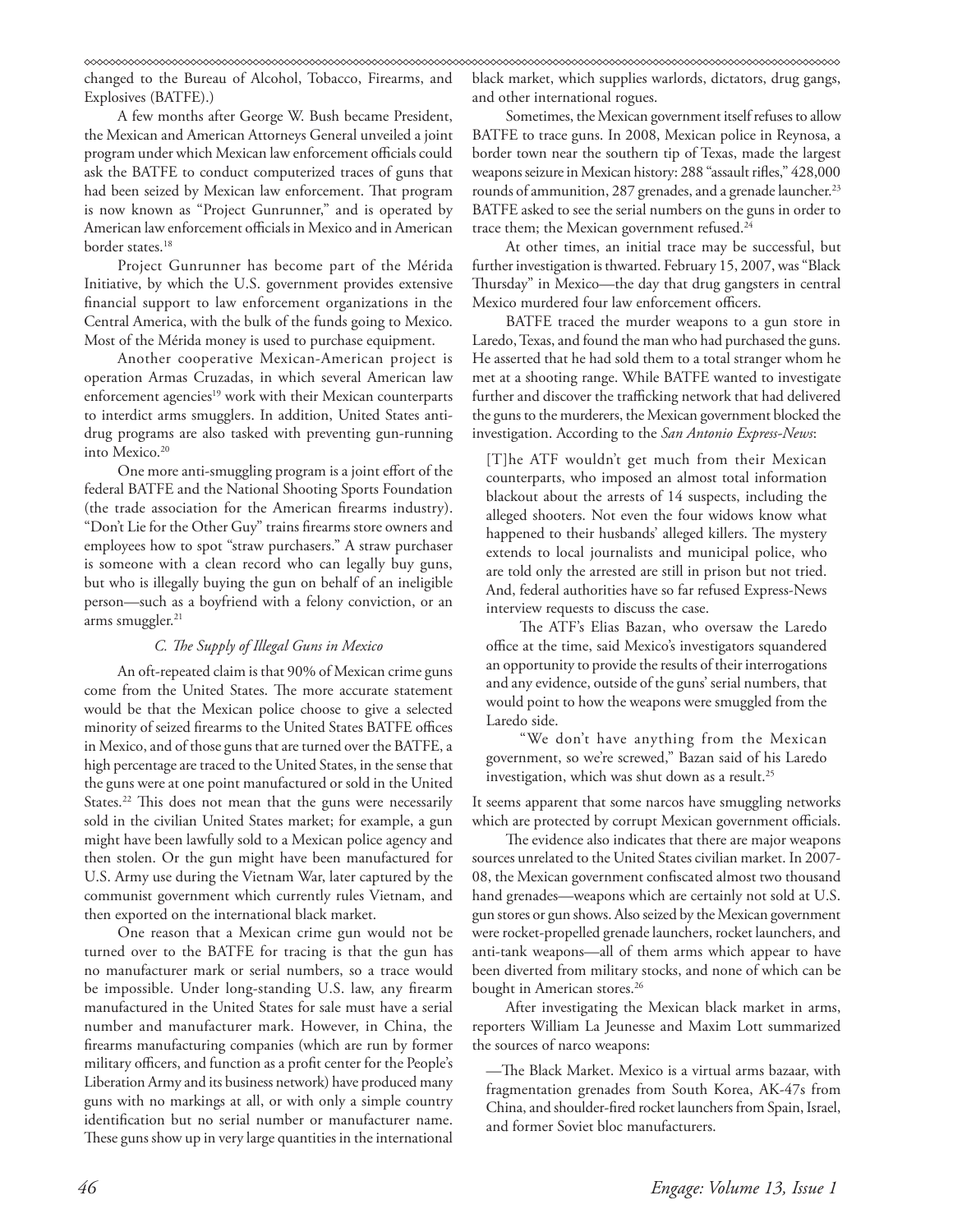changed to the Bureau of Alcohol, Tobacco, Firearms, and Explosives (BATFE).)

A few months after George W. Bush became President, the Mexican and American Attorneys General unveiled a joint program under which Mexican law enforcement officials could ask the BATFE to conduct computerized traces of guns that had been seized by Mexican law enforcement. That program is now known as "Project Gunrunner," and is operated by American law enforcement officials in Mexico and in American border states.<sup>18</sup>

Project Gunrunner has become part of the Mérida Initiative, by which the U.S. government provides extensive financial support to law enforcement organizations in the Central America, with the bulk of the funds going to Mexico. Most of the Mérida money is used to purchase equipment.

Another cooperative Mexican-American project is operation Armas Cruzadas, in which several American law enforcement agencies<sup>19</sup> work with their Mexican counterparts to interdict arms smugglers. In addition, United States antidrug programs are also tasked with preventing gun-running into Mexico.<sup>20</sup>

One more anti-smuggling program is a joint effort of the federal BATFE and the National Shooting Sports Foundation (the trade association for the American firearms industry). "Don't Lie for the Other Guy" trains firearms store owners and employees how to spot "straw purchasers." A straw purchaser is someone with a clean record who can legally buy guns, but who is illegally buying the gun on behalf of an ineligible person—such as a boyfriend with a felony conviction, or an arms smuggler.<sup>21</sup>

### *C. The Supply of Illegal Guns in Mexico*

An oft-repeated claim is that 90% of Mexican crime guns come from the United States. The more accurate statement would be that the Mexican police choose to give a selected minority of seized firearms to the United States BATFE offices in Mexico, and of those guns that are turned over the BATFE, a high percentage are traced to the United States, in the sense that the guns were at one point manufactured or sold in the United States.<sup>22</sup> This does not mean that the guns were necessarily sold in the civilian United States market; for example, a gun might have been lawfully sold to a Mexican police agency and then stolen. Or the gun might have been manufactured for U.S. Army use during the Vietnam War, later captured by the communist government which currently rules Vietnam, and then exported on the international black market.

One reason that a Mexican crime gun would not be turned over to the BATFE for tracing is that the gun has no manufacturer mark or serial numbers, so a trace would be impossible. Under long-standing U.S. law, any firearm manufactured in the United States for sale must have a serial number and manufacturer mark. However, in China, the firearms manufacturing companies (which are run by former military officers, and function as a profit center for the People's Liberation Army and its business network) have produced many guns with no markings at all, or with only a simple country identification but no serial number or manufacturer name. These guns show up in very large quantities in the international black market, which supplies warlords, dictators, drug gangs, and other international rogues.

Sometimes, the Mexican government itself refuses to allow BATFE to trace guns. In 2008, Mexican police in Reynosa, a border town near the southern tip of Texas, made the largest weapons seizure in Mexican history: 288 "assault rifles," 428,000 rounds of ammunition, 287 grenades, and a grenade launcher.<sup>23</sup> BATFE asked to see the serial numbers on the guns in order to trace them; the Mexican government refused.<sup>24</sup>

At other times, an initial trace may be successful, but further investigation is thwarted. February 15, 2007, was "Black Thursday" in Mexico—the day that drug gangsters in central Mexico murdered four law enforcement officers.

BATFE traced the murder weapons to a gun store in Laredo, Texas, and found the man who had purchased the guns. He asserted that he had sold them to a total stranger whom he met at a shooting range. While BATFE wanted to investigate further and discover the trafficking network that had delivered the guns to the murderers, the Mexican government blocked the investigation. According to the *San Antonio Express-News*:

[T]he ATF wouldn't get much from their Mexican counterparts, who imposed an almost total information blackout about the arrests of 14 suspects, including the alleged shooters. Not even the four widows know what happened to their husbands' alleged killers. The mystery extends to local journalists and municipal police, who are told only the arrested are still in prison but not tried. And, federal authorities have so far refused Express-News interview requests to discuss the case.

The ATF's Elias Bazan, who oversaw the Laredo office at the time, said Mexico's investigators squandered an opportunity to provide the results of their interrogations and any evidence, outside of the guns' serial numbers, that would point to how the weapons were smuggled from the Laredo side.

"We don't have anything from the Mexican government, so we're screwed," Bazan said of his Laredo investigation, which was shut down as a result.<sup>25</sup>

It seems apparent that some narcos have smuggling networks which are protected by corrupt Mexican government officials.

The evidence also indicates that there are major weapons sources unrelated to the United States civilian market. In 2007- 08, the Mexican government confiscated almost two thousand hand grenades—weapons which are certainly not sold at U.S. gun stores or gun shows. Also seized by the Mexican government were rocket-propelled grenade launchers, rocket launchers, and anti-tank weapons—all of them arms which appear to have been diverted from military stocks, and none of which can be bought in American stores.<sup>26</sup>

After investigating the Mexican black market in arms, reporters William La Jeunesse and Maxim Lott summarized the sources of narco weapons:

—The Black Market. Mexico is a virtual arms bazaar, with fragmentation grenades from South Korea, AK-47s from China, and shoulder-fired rocket launchers from Spain, Israel, and former Soviet bloc manufacturers.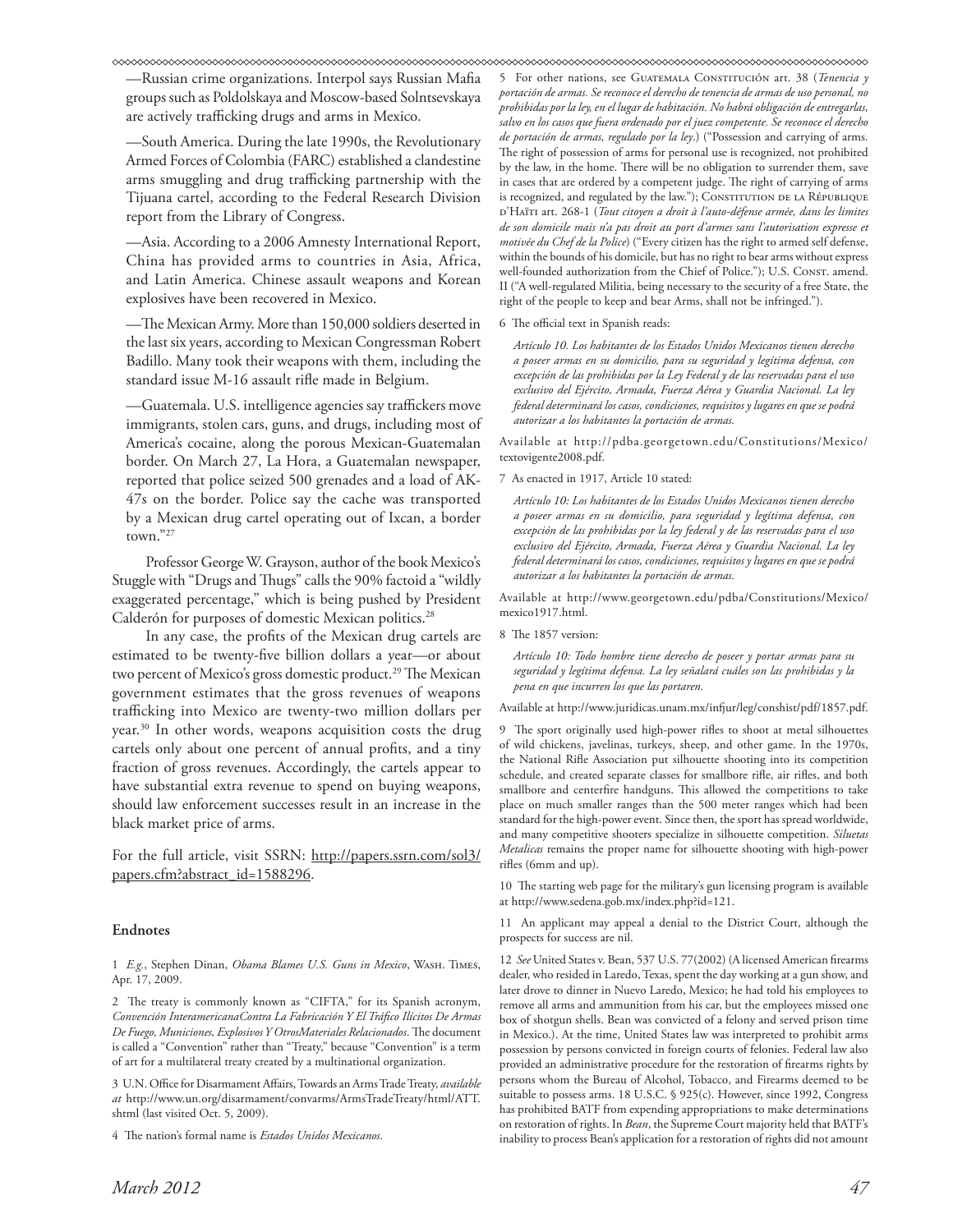—Russian crime organizations. Interpol says Russian Mafia groups such as Poldolskaya and Moscow-based Solntsevskaya are actively trafficking drugs and arms in Mexico.

—South America. During the late 1990s, the Revolutionary Armed Forces of Colombia (FARC) established a clandestine arms smuggling and drug trafficking partnership with the Tijuana cartel, according to the Federal Research Division report from the Library of Congress.

—Asia. According to a 2006 Amnesty International Report, China has provided arms to countries in Asia, Africa, and Latin America. Chinese assault weapons and Korean explosives have been recovered in Mexico.

—The Mexican Army. More than 150,000 soldiers deserted in the last six years, according to Mexican Congressman Robert Badillo. Many took their weapons with them, including the standard issue M-16 assault rifle made in Belgium.

—Guatemala. U.S. intelligence agencies say traffickers move immigrants, stolen cars, guns, and drugs, including most of America's cocaine, along the porous Mexican-Guatemalan border. On March 27, La Hora, a Guatemalan newspaper, reported that police seized 500 grenades and a load of AK-47s on the border. Police say the cache was transported by a Mexican drug cartel operating out of Ixcan, a border town."27

Professor George W. Grayson, author of the book Mexico's Stuggle with "Drugs and Thugs" calls the 90% factoid a "wildly exaggerated percentage," which is being pushed by President Calderón for purposes of domestic Mexican politics.<sup>28</sup>

In any case, the profits of the Mexican drug cartels are estimated to be twenty-five billion dollars a year—or about two percent of Mexico's gross domestic product.<sup>29</sup> The Mexican government estimates that the gross revenues of weapons trafficking into Mexico are twenty-two million dollars per year.30 In other words, weapons acquisition costs the drug cartels only about one percent of annual profits, and a tiny fraction of gross revenues. Accordingly, the cartels appear to have substantial extra revenue to spend on buying weapons, should law enforcement successes result in an increase in the black market price of arms.

For the full article, visit SSRN: http://papers.ssrn.com/sol3/ papers.cfm?abstract\_id=1588296.

#### **Endnotes**

1 *E.g.*, Stephen Dinan, *Obama Blames U.S. Guns in Mexico*, Wash. Times, Apr. 17, 2009.

2 The treaty is commonly known as "CIFTA," for its Spanish acronym, *Convención InteramericanaContra La Fabricación Y El Tráfico Ilícitos De Armas De Fuego, Municiones, Explosivos Y OtrosMateriales Relacionados*. The document is called a "Convention" rather than "Treaty," because "Convention" is a term of art for a multilateral treaty created by a multinational organization.

3 U.N. Office for Disarmament Affairs, Towards an Arms Trade Treaty, *available at* http://www.un.org/disarmament/convarms/ArmsTradeTreaty/html/ATT. shtml (last visited Oct. 5, 2009).

4 The nation's formal name is *Estados Unidos Mexicanos*.

5 For other nations, see Guatemala Constitución art. 38 (*Tenencia y portación de armas. Se reconoce el derecho de tenencia de armas de uso personal, no prohibidas por la ley, en el lugar de habitación. No habrá obligación de entregarlas, salvo en los casos que fuera ordenado por el juez competente. Se reconoce el derecho de portación de armas, regulado por la ley*.) ("Possession and carrying of arms. The right of possession of arms for personal use is recognized, not prohibited by the law, in the home. There will be no obligation to surrender them, save in cases that are ordered by a competent judge. The right of carrying of arms is recognized, and regulated by the law."); CONSTITUTION DE LA RÉPUBLIQUE d'Haïti art. 268-1 (*Tout citoyen a droit à l'auto-défense armée, dans les limites de son domicile mais n'a pas droit au port d'armes sans l'autorisation expresse et motivée du Chef de la Police*) ("Every citizen has the right to armed self defense, within the bounds of his domicile, but has no right to bear arms without express well-founded authorization from the Chief of Police."); U.S. Consr. amend. II ("A well-regulated Militia, being necessary to the security of a free State, the right of the people to keep and bear Arms, shall not be infringed.").

#### 6 The official text in Spanish reads:

*Artículo 10. Los habitantes de los Estados Unidos Mexicanos tienen derecho a poseer armas en su domicilio, para su seguridad y legítima defensa, con excepción de las prohibidas por la Ley Federal y de las reservadas para el uso exclusivo del Ejército, Armada, Fuerza Aérea y Guardia Nacional. La ley federal determinará los casos, condiciones, requisitos y lugares en que se podrá autorizar a los habitantes la portación de armas.*

Available at http://pdba.georgetown.edu/Constitutions/Mexico/ textovigente2008.pdf.

7 As enacted in 1917, Article 10 stated:

*Artículo 10: Los habitantes de los Estados Unidos Mexicanos tienen derecho a poseer armas en su domicilio, para seguridad y legítima defensa, con excepción de las prohibidas por la ley federal y de las reservadas para el uso exclusivo del Ejército, Armada, Fuerza Aérea y Guardia Nacional. La ley federal determinará los casos, condiciones, requisitos y lugares en que se podrá autorizar a los habitantes la portación de armas.*

Available at http://www.georgetown.edu/pdba/Constitutions/Mexico/ mexico1917.html.

8 The 1857 version:

*Artículo 10: Todo hombre tiene derecho de poseer y portar armas para su seguridad y legítima defensa. La ley señalará cuáles son las prohibidas y la pena en que incurren los que las portaren.*

Available at http://www.juridicas.unam.mx/infjur/leg/conshist/pdf/1857.pdf.

9 The sport originally used high-power rifles to shoot at metal silhouettes of wild chickens, javelinas, turkeys, sheep, and other game. In the 1970s, the National Rifle Association put silhouette shooting into its competition schedule, and created separate classes for smallbore rifle, air rifles, and both smallbore and centerfire handguns. This allowed the competitions to take place on much smaller ranges than the 500 meter ranges which had been standard for the high-power event. Since then, the sport has spread worldwide, and many competitive shooters specialize in silhouette competition. *Siluetas Metalicas* remains the proper name for silhouette shooting with high-power rifles (6mm and up).

10 The starting web page for the military's gun licensing program is available at http://www.sedena.gob.mx/index.php?id=121.

11 An applicant may appeal a denial to the District Court, although the prospects for success are nil.

12 *See* United States v. Bean, 537 U.S. 77(2002) (A licensed American firearms dealer, who resided in Laredo, Texas, spent the day working at a gun show, and later drove to dinner in Nuevo Laredo, Mexico; he had told his employees to remove all arms and ammunition from his car, but the employees missed one box of shotgun shells. Bean was convicted of a felony and served prison time in Mexico.). At the time, United States law was interpreted to prohibit arms possession by persons convicted in foreign courts of felonies. Federal law also provided an administrative procedure for the restoration of firearms rights by persons whom the Bureau of Alcohol, Tobacco, and Firearms deemed to be suitable to possess arms. 18 U.S.C. § 925(c). However, since 1992, Congress has prohibited BATF from expending appropriations to make determinations on restoration of rights. In *Bean*, the Supreme Court majority held that BATF's inability to process Bean's application for a restoration of rights did not amount